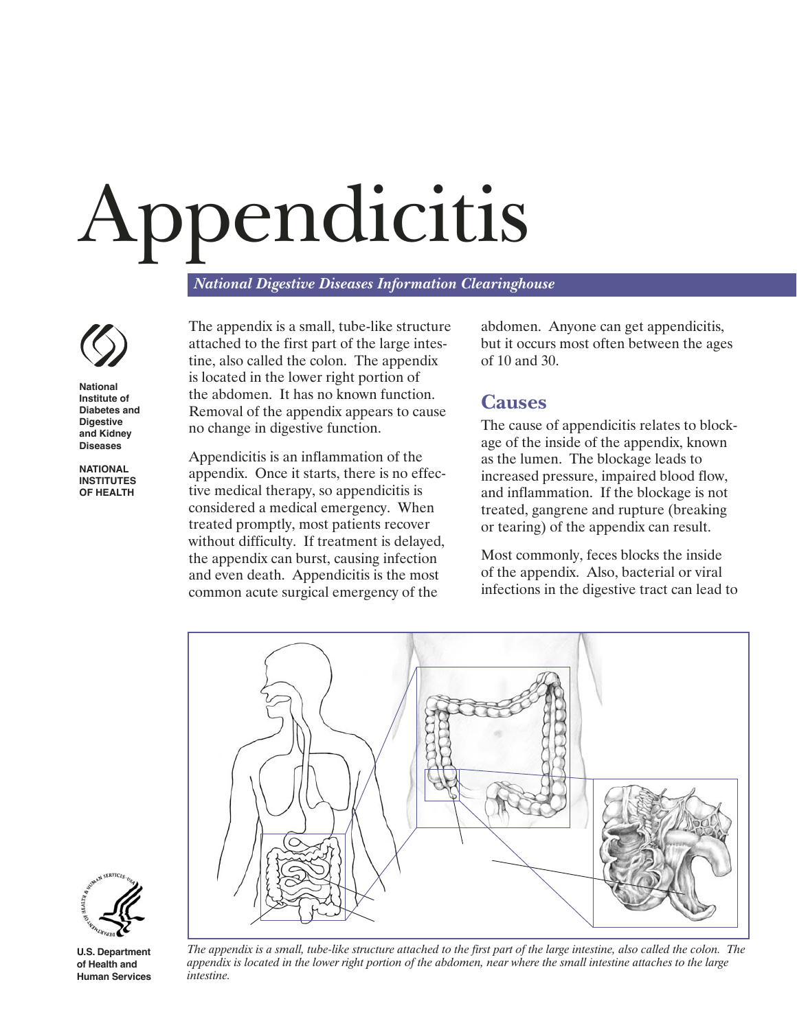# Appendicitis

*National Digestive Diseases Information Clearinghouse*



**National Institute of Diabetes and Digestive and Kidney Diseases**

**NATIONAL INSTITUTES OF HEALTH** The appendix is a small, tube-like structure attached to the first part of the large intestine, also called the colon. The appendix is located in the lower right portion of the abdomen. It has no known function. Removal of the appendix appears to cause no change in digestive function.

Appendicitis is an inflammation of the appendix. Once it starts, there is no effective medical therapy, so appendicitis is considered a medical emergency. When treated promptly, most patients recover without difficulty. If treatment is delayed, the appendix can burst, causing infection and even death. Appendicitis is the most common acute surgical emergency of the

abdomen. Anyone can get appendicitis, but it occurs most often between the ages of 10 and 30.

# **Causes**

The cause of appendicitis relates to blockage of the inside of the appendix, known as the lumen. The blockage leads to increased pressure, impaired blood flow, and inflammation. If the blockage is not treated, gangrene and rupture (breaking or tearing) of the appendix can result.

Most commonly, feces blocks the inside of the appendix. Also, bacterial or viral infections in the digestive tract can lead to





**U.S. Department of Health and Human Services**

*The appendix is a small, tube-like structure attached to the first part of the large intestine, also called the colon. The appendix is located in the lower right portion of the abdomen, near where the small intestine attaches to the large intestine.*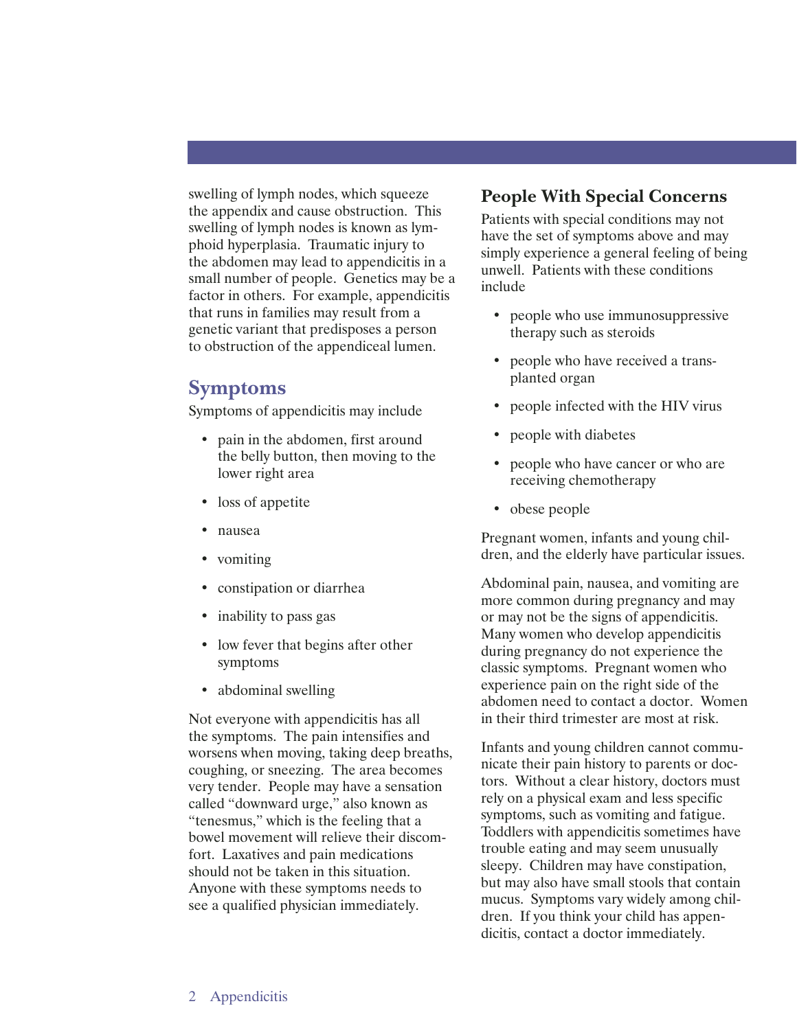swelling of lymph nodes, which squeeze the appendix and cause obstruction. This swelling of lymph nodes is known as lymphoid hyperplasia. Traumatic injury to the abdomen may lead to appendicitis in a small number of people. Genetics may be a factor in others. For example, appendicitis that runs in families may result from a genetic variant that predisposes a person to obstruction of the appendiceal lumen.

## **Symptoms**

Symptoms of appendicitis may include

- pain in the abdomen, first around the belly button, then moving to the lower right area
- loss of appetite
- nausea
- vomiting
- constipation or diarrhea
- inability to pass gas
- low fever that begins after other symptoms
- abdominal swelling

Not everyone with appendicitis has all the symptoms. The pain intensifies and worsens when moving, taking deep breaths, coughing, or sneezing. The area becomes very tender. People may have a sensation called "downward urge," also known as "tenesmus," which is the feeling that a bowel movement will relieve their discomfort. Laxatives and pain medications should not be taken in this situation. Anyone with these symptoms needs to see a qualified physician immediately.

#### **People With Special Concerns**

Patients with special conditions may not have the set of symptoms above and may simply experience a general feeling of being unwell. Patients with these conditions include

- people who use immunosuppressive therapy such as steroids
- people who have received a transplanted organ
- people infected with the HIV virus
- people with diabetes
- people who have cancer or who are receiving chemotherapy
- obese people

Pregnant women, infants and young children, and the elderly have particular issues.

Abdominal pain, nausea, and vomiting are more common during pregnancy and may or may not be the signs of appendicitis. Many women who develop appendicitis during pregnancy do not experience the classic symptoms. Pregnant women who experience pain on the right side of the abdomen need to contact a doctor. Women in their third trimester are most at risk.

Infants and young children cannot communicate their pain history to parents or doctors. Without a clear history, doctors must rely on a physical exam and less specific symptoms, such as vomiting and fatigue. Toddlers with appendicitis sometimes have trouble eating and may seem unusually sleepy. Children may have constipation, but may also have small stools that contain mucus. Symptoms vary widely among children. If you think your child has appendicitis, contact a doctor immediately.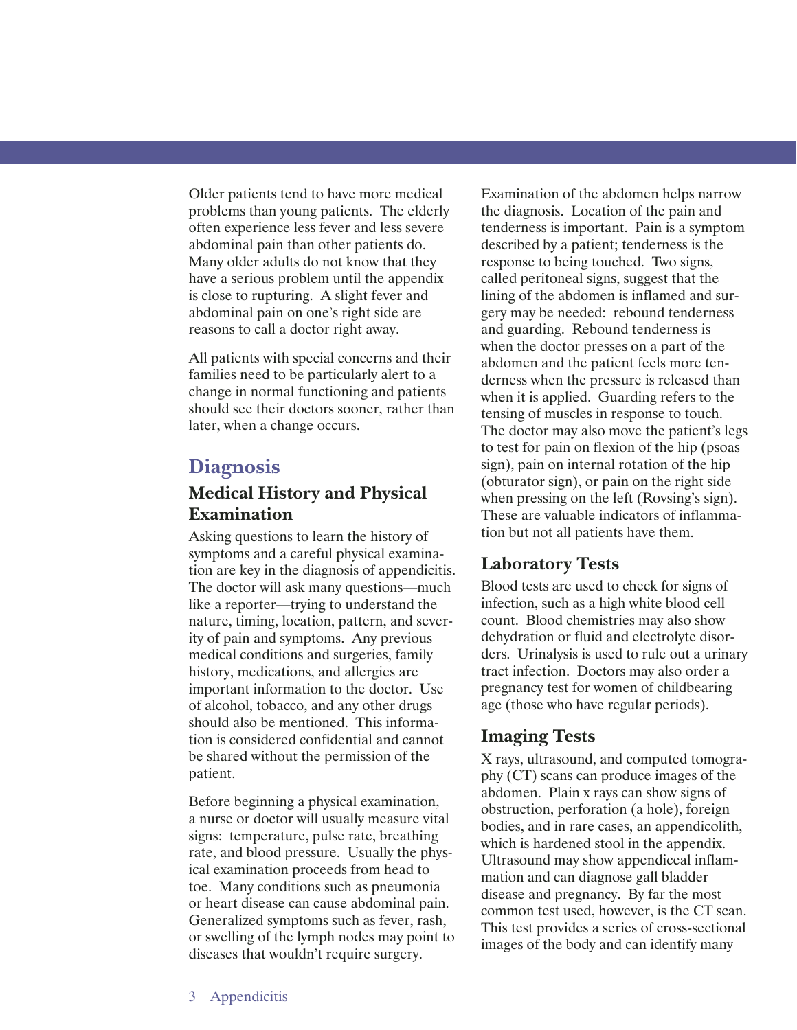Older patients tend to have more medical problems than young patients. The elderly often experience less fever and less severe abdominal pain than other patients do. Many older adults do not know that they have a serious problem until the appendix is close to rupturing. A slight fever and abdominal pain on one's right side are reasons to call a doctor right away.

All patients with special concerns and their families need to be particularly alert to a change in normal functioning and patients should see their doctors sooner, rather than later, when a change occurs.

# **Diagnosis**

#### **Medical History and Physical Examination**

Asking questions to learn the history of symptoms and a careful physical examination are key in the diagnosis of appendicitis. The doctor will ask many questions—much like a reporter—trying to understand the nature, timing, location, pattern, and severity of pain and symptoms. Any previous medical conditions and surgeries, family history, medications, and allergies are important information to the doctor. Use of alcohol, tobacco, and any other drugs should also be mentioned. This information is considered confidential and cannot be shared without the permission of the patient.

Before beginning a physical examination, a nurse or doctor will usually measure vital signs: temperature, pulse rate, breathing rate, and blood pressure. Usually the physical examination proceeds from head to toe. Many conditions such as pneumonia or heart disease can cause abdominal pain. Generalized symptoms such as fever, rash, or swelling of the lymph nodes may point to diseases that wouldn't require surgery.

Examination of the abdomen helps narrow the diagnosis. Location of the pain and tenderness is important. Pain is a symptom described by a patient; tenderness is the response to being touched. Two signs, called peritoneal signs, suggest that the lining of the abdomen is inflamed and surgery may be needed: rebound tenderness and guarding. Rebound tenderness is when the doctor presses on a part of the abdomen and the patient feels more tenderness when the pressure is released than when it is applied. Guarding refers to the tensing of muscles in response to touch. The doctor may also move the patient's legs to test for pain on flexion of the hip (psoas sign), pain on internal rotation of the hip (obturator sign), or pain on the right side when pressing on the left (Rovsing's sign). These are valuable indicators of inflammation but not all patients have them.

### **Laboratory Tests**

Blood tests are used to check for signs of infection, such as a high white blood cell count. Blood chemistries may also show dehydration or fluid and electrolyte disorders. Urinalysis is used to rule out a urinary tract infection. Doctors may also order a pregnancy test for women of childbearing age (those who have regular periods).

### **Imaging Tests**

X rays, ultrasound, and computed tomography (CT) scans can produce images of the abdomen. Plain x rays can show signs of obstruction, perforation (a hole), foreign bodies, and in rare cases, an appendicolith, which is hardened stool in the appendix. Ultrasound may show appendiceal inflammation and can diagnose gall bladder disease and pregnancy. By far the most common test used, however, is the CT scan. This test provides a series of cross-sectional images of the body and can identify many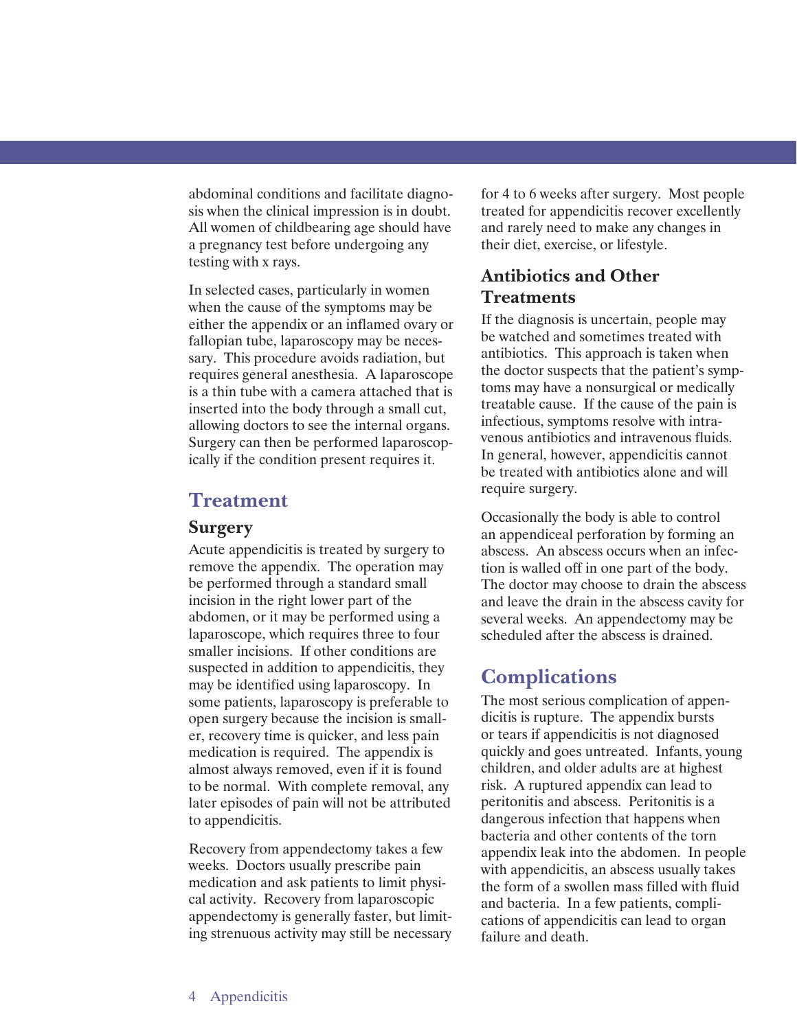abdominal conditions and facilitate diagnosis when the clinical impression is in doubt. All women of childbearing age should have a pregnancy test before undergoing any testing with x rays.

In selected cases, particularly in women when the cause of the symptoms may be either the appendix or an inflamed ovary or fallopian tube, laparoscopy may be necessary. This procedure avoids radiation, but requires general anesthesia. A laparoscope is a thin tube with a camera attached that is inserted into the body through a small cut, allowing doctors to see the internal organs. Surgery can then be performed laparoscopically if the condition present requires it.

## **Treatment**

#### **Surgery**

Acute appendicitis is treated by surgery to remove the appendix. The operation may be performed through a standard small incision in the right lower part of the abdomen, or it may be performed using a laparoscope, which requires three to four smaller incisions. If other conditions are suspected in addition to appendicitis, they may be identified using laparoscopy. In some patients, laparoscopy is preferable to open surgery because the incision is smaller, recovery time is quicker, and less pain medication is required. The appendix is almost always removed, even if it is found to be normal. With complete removal, any later episodes of pain will not be attributed to appendicitis.

Recovery from appendectomy takes a few weeks. Doctors usually prescribe pain medication and ask patients to limit physical activity. Recovery from laparoscopic appendectomy is generally faster, but limiting strenuous activity may still be necessary for 4 to 6 weeks after surgery. Most people treated for appendicitis recover excellently and rarely need to make any changes in their diet, exercise, or lifestyle.

## **Antibiotics and Other Treatments**

If the diagnosis is uncertain, people may be watched and sometimes treated with antibiotics. This approach is taken when the doctor suspects that the patient's symptoms may have a nonsurgical or medically treatable cause. If the cause of the pain is infectious, symptoms resolve with intravenous antibiotics and intravenous fluids. In general, however, appendicitis cannot be treated with antibiotics alone and will require surgery.

Occasionally the body is able to control an appendiceal perforation by forming an abscess. An abscess occurs when an infection is walled off in one part of the body. The doctor may choose to drain the abscess and leave the drain in the abscess cavity for several weeks. An appendectomy may be scheduled after the abscess is drained.

# **Complications**

The most serious complication of appendicitis is rupture. The appendix bursts or tears if appendicitis is not diagnosed quickly and goes untreated. Infants, young children, and older adults are at highest risk. A ruptured appendix can lead to peritonitis and abscess. Peritonitis is a dangerous infection that happens when bacteria and other contents of the torn appendix leak into the abdomen. In people with appendicitis, an abscess usually takes the form of a swollen mass filled with fluid and bacteria. In a few patients, complications of appendicitis can lead to organ failure and death.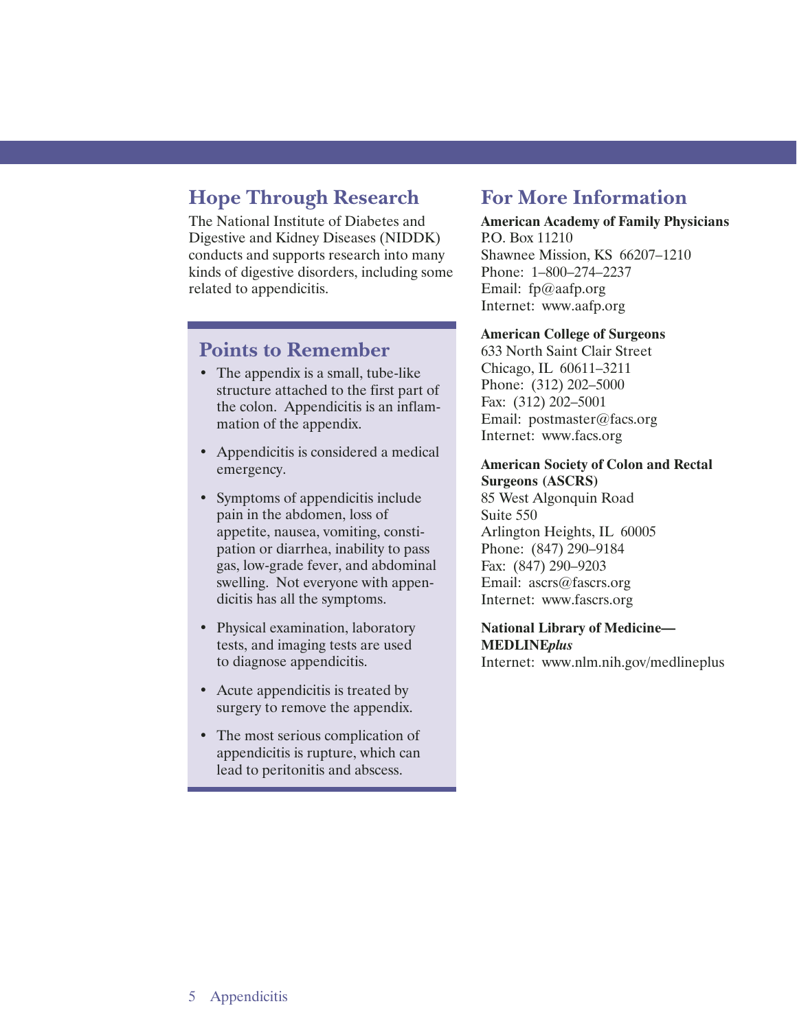# **Hope Through Research**

The National Institute of Diabetes and Digestive and Kidney Diseases (NIDDK) conducts and supports research into many kinds of digestive disorders, including some related to appendicitis.

# **Points to Remember**

- The appendix is a small, tube-like structure attached to the first part of the colon. Appendicitis is an inflammation of the appendix.
- Appendicitis is considered a medical emergency.
- Symptoms of appendicitis include pain in the abdomen, loss of appetite, nausea, vomiting, constipation or diarrhea, inability to pass gas, low-grade fever, and abdominal swelling. Not everyone with appendicitis has all the symptoms.
- Physical examination, laboratory tests, and imaging tests are used to diagnose appendicitis.
- Acute appendicitis is treated by surgery to remove the appendix.
- The most serious complication of appendicitis is rupture, which can lead to peritonitis and abscess.

# **For More Information**

#### **American Academy of Family Physicians**  P.O. Box 11210 Shawnee Mission, KS 66207–1210

Phone: 1–800–274–2237 Email: fp@aafp.org Internet: www.aafp.org

#### **American College of Surgeons**

633 North Saint Clair Street Chicago, IL 60611–3211 Phone: (312) 202–5000 Fax: (312) 202–5001 Email: postmaster@facs.org Internet: www.facs.org

#### **American Society of Colon and Rectal Surgeons (ASCRS)**

85 West Algonquin Road Suite 550 Arlington Heights, IL 60005 Phone: (847) 290–9184 Fax: (847) 290–9203 Email: ascrs@fascrs.org Internet: www.fascrs.org

#### **National Library of Medicine— MEDLINE***plus*

Internet: www.nlm.nih.gov/medlineplus